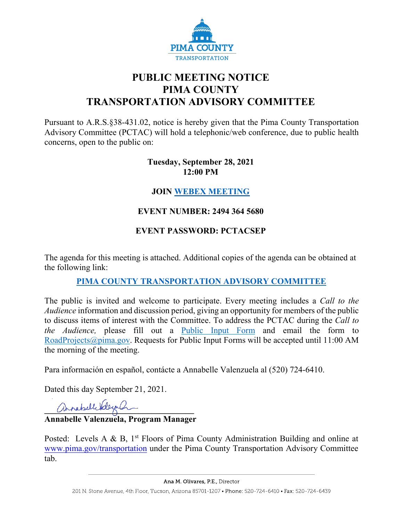

# **PUBLIC MEETING NOTICE PIMA COUNTY TRANSPORTATION ADVISORY COMMITTEE**

Pursuant to A.R.S.§38-431.02, notice is hereby given that the Pima County Transportation Advisory Committee (PCTAC) will hold a telephonic/web conference, due to public health concerns, open to the public on:

#### **Tuesday, September 28, 2021 12:00 PM**

# **JOIN [WEBEX MEETING](https://pimacounty.webex.com/mw3300/mywebex/default.do?siteurl=pimacounty&service=6)**

# **EVENT NUMBER: 2494 364 5680**

# **EVENT PASSWORD: PCTACSEP**

The agenda for this meeting is attached. Additional copies of the agenda can be obtained at the following link:

# **[PIMA COUNTY TRANSPORTATION ADVISORY COMMITTEE](https://webcms.pima.gov/cms/One.aspx?portalId=169&pageId=355530)**

The public is invited and welcome to participate. Every meeting includes a *Call to the Audience* information and discussion period, giving an opportunity for members of the public to discuss items of interest with the Committee. To address the PCTAC during the *Call to the Audience,* please fill out a [Public Input Form](https://webcms.pima.gov/UserFiles/Servers/Server_6/File/Government/Transportation/TransportationAdvisoryCommittee/PCTAC_Speaker_Card.pdf) and email the form to [RoadProjects@pima.gov.](mailto:RoadProjects@pima.gov) Requests for Public Input Forms will be accepted until 11:00 AM the morning of the meeting.

Para información en español, contácte a Annabelle Valenzuela al (520) 724-6410.

Dated this day September 21, 2021.

annabell Vdergh

### **Annabelle Valenzuela, Program Manager**

Posted: Levels A & B,  $1<sup>st</sup>$  Floors of Pima County Administration Building and online at [www.pima.gov/transportation](http://www.pima.gov/transportation) under the Pima County Transportation Advisory Committee tab.